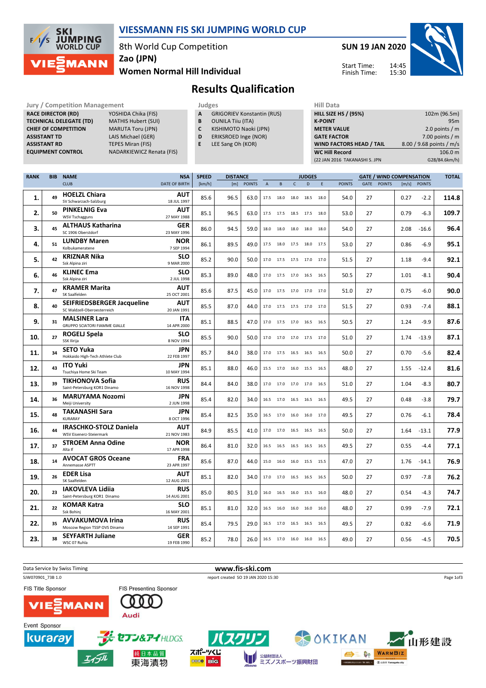

## VIESSMANN FIS SKI JUMPING WORLD CUP

8th World Cup Competition

Zao (JPN)

#### Women Normal Hill Individual



14:45 15:30 Start Time: Finish Time:



Results Qualification

Jury / Competition Management **Judges** Judges Hill Data<br> **RACE DIRECTOR (RD)** YOSHIDA Chika (FIS) **A** GRIGORIEV Konstantin (RUS) **HILL SIZE I** RACE DIRECTOR (RD) **TECHNICAL DELEGATE (TD)** MATHIS Hubert (SUI)<br> **CHIEF OF COMPETITION** MARUTA Toru (JPN) **CHIEF OF COMPETITION**<br>ASSISTANT TD

LAIS Michael (GER) **ASSISTANT RD** TEPES Miran (FIS)<br> **EQUIPMENT CONTROL** NADARKIEWICZ Re NADARKIEWICZ Renata (FIS)

- A GRIGORIEV Konstantin (RUS)
- **B** OUNILA Tiiu (ITA)<br>**C** KISHIMOTO Naok KISHIMOTO Naoki (JPN)
- D ERIKSROED Inge (NOR)
- E LEE Sang Oh (KOR)
	-

|                                                             | .              |
|-------------------------------------------------------------|----------------|
| <b>HILL SIZE HS / (95%)</b><br>102m (96.5m)                 |                |
| 95 <sub>m</sub>                                             | <b>K-POINT</b> |
| 2.0 points $/m$<br><b>METER VALUE</b>                       |                |
| 7.00 points $/m$<br><b>GATE FACTOR</b>                      |                |
| <b>WIND FACTORS HEAD / TAIL</b><br>8.00 / 9.68 points / m/s |                |
| <b>WC Hill Record</b><br>106.0 m                            |                |
| G28/84.6km/h)<br>(22 JAN 2016 TAKANASHI S. JPN              |                |

| <b>RANK</b> | <b>BIB</b> | <b>NAME</b>                                  | <b>NSA</b>                | <b>SPEED</b> | <b>DISTANCE</b> |               |                | <b>JUDGES</b>                |              |                |      |               | <b>TOTAL</b> |               |      |              |       |
|-------------|------------|----------------------------------------------|---------------------------|--------------|-----------------|---------------|----------------|------------------------------|--------------|----------------|------|---------------|--------------|---------------|------|--------------|-------|
|             |            | <b>CLUB</b>                                  | DATE OF BIRTH             | [km/h]       | [m]             | <b>POINTS</b> | $\overline{A}$ | B                            | $\mathsf{C}$ | D              | E    | <b>POINTS</b> | GATE         | <b>POINTS</b> |      | [m/s] POINTS |       |
|             |            | <b>HOELZL Chiara</b>                         | <b>AUT</b>                |              |                 |               |                |                              |              |                |      |               |              |               |      |              |       |
| 1.          | 49         | SV Schwarzach-Salzburg                       | 18 JUL 1997               | 85.6         | 96.5            | 63.0          | 17.5           | 18.0                         | 18.0         | 18.5           | 18.0 | 54.0          | 27           |               | 0.27 | $-2.2$       | 114.8 |
|             | 50         | <b>PINKELNIG Eva</b>                         | <b>AUT</b>                | 85.1         | 96.5            | 63.0          | 17.5           | 17.5                         |              | 18.5 17.5 18.0 |      | 53.0          | 27           |               | 0.79 | $-6.3$       | 109.7 |
| 2.          |            | <b>WSV Tschagguns</b>                        | 27 MAY 1988               |              |                 |               |                |                              |              |                |      |               |              |               |      |              |       |
| 3.          | 45         | <b>ALTHAUS Katharina</b>                     | <b>GER</b>                | 86.0         | 94.5            | 59.0          | 18.0           | 18.0                         | 18.0         | 18.0           | 18.0 | 54.0          | 27           |               | 2.08 | $-16.6$      | 96.4  |
|             |            | SC 1906 Oberstdorf                           | 23 MAY 1996               |              |                 |               |                |                              |              |                |      |               |              |               |      |              |       |
| 4.          | 51         | <b>LUNDBY Maren</b>                          | <b>NOR</b>                | 86.1         | 89.5            | 49.0          | 17.5           | 18.0                         |              | 17.5 18.0 17.5 |      | 53.0          | 27           |               | 0.86 | $-6.9$       | 95.1  |
|             |            | Kolbukameratene                              | 7 SEP 1994                |              |                 |               |                |                              |              |                |      |               |              |               |      |              |       |
| 5.          | 42         | <b>KRIZNAR Nika</b><br>Ssk Alpina ziri       | <b>SLO</b><br>9 MAR 2000  | 85.2         | 90.0            | 50.0          |                | 17.0 17.5 17.5 17.0 17.0     |              |                |      | 51.5          | 27           |               | 1.18 | $-9.4$       | 92.1  |
|             |            |                                              |                           |              |                 |               |                |                              |              |                |      |               |              |               |      |              |       |
| 6.          | 46         | <b>KLINEC Ema</b><br>Ssk Alpina ziri         | <b>SLO</b><br>2 JUL 1998  | 85.3         | 89.0            | 48.0          |                | 17.0 17.5 17.0 16.5 16.5     |              |                |      | 50.5          | 27           |               | 1.01 | $-8.1$       | 90.4  |
|             |            | <b>KRAMER Marita</b>                         | AUT                       |              |                 |               |                |                              |              |                |      |               |              |               |      |              |       |
| 7.          | 47         | SK Saalfelden                                | 25 OCT 2001               | 85.6         | 87.5            | 45.0          |                | 17.0  17.5  17.0  17.0  17.0 |              |                |      | 51.0          | 27           |               | 0.75 | $-6.0$       | 90.0  |
|             |            | SEIFRIEDSBERGER Jacqueline                   | <b>AUT</b>                |              |                 |               |                |                              |              |                |      |               |              |               |      |              |       |
| 8.          | 40         | SC Waldzell-Oberoesterreich                  | 20 JAN 1991               | 85.5         | 87.0            | 44.0          | 17.0           | 17.5                         |              | 17.5 17.0 17.0 |      | 51.5          | 27           |               | 0.93 | $-7.4$       | 88.1  |
| 9.          | 31         | <b>MALSINER Lara</b>                         | <b>ITA</b>                | 85.1         | 88.5            |               | 17.0           | 17.5                         |              | 17.0 16.5 16.5 |      |               | 27           |               | 1.24 | $-9.9$       | 87.6  |
|             |            | <b>GRUPPO SCIATORI FIAMME GIALLE</b>         | 14 APR 2000               |              |                 | 47.0          |                |                              |              |                |      | 50.5          |              |               |      |              |       |
| 10.         | 27         | ROGELJ Spela                                 | <b>SLO</b>                | 85.5         | 90.0            | 50.0          | 17.0           | 17.0 17.0 17.5 17.0          |              |                |      | 51.0          | 27           |               | 1.74 | $-13.9$      | 87.1  |
|             |            | SSK Ilirija                                  | 8 NOV 1994                |              |                 |               |                |                              |              |                |      |               |              |               |      |              |       |
| 11.         | 34         | <b>SETO Yuka</b>                             | <b>JPN</b>                | 85.7         | 84.0            | 38.0          | 17.0           | 17.5                         | 16.5         | 16.5 16.5      |      | 50.0          | 27           |               | 0.70 | $-5.6$       | 82.4  |
|             |            | Hokkaido High-Tech Athlete Club              | 22 FEB 1997               |              |                 |               |                |                              |              |                |      |               |              |               |      |              |       |
| 12.         | 43         | <b>ITO Yuki</b><br>Tsuchiva Home Ski Team    | JPN<br>10 MAY 1994        | 85.1         | 88.0            | 46.0          | 15.5           | 17.0 16.0 15.5 16.5          |              |                |      | 48.0          | 27           |               | 1.55 | $-12.4$      | 81.6  |
|             |            | <b>TIKHONOVA Sofia</b>                       | <b>RUS</b>                |              |                 |               |                |                              |              |                |      |               |              |               |      |              |       |
| 13.         | 39         | Saint-Petersburg KOR1 Dinamo                 | 16 NOV 1998               | 84.4         | 84.0            | 38.0          | 17.0           | 17.0 17.0 17.0 16.5          |              |                |      | 51.0          | 27           |               | 1.04 | $-8.3$       | 80.7  |
|             |            | <b>MARUYAMA Nozomi</b>                       | JPN                       |              |                 |               |                |                              |              |                |      |               |              |               |      |              |       |
| 14.         | 36         | Meiji University                             | 2 JUN 1998                | 85.4         | 82.0            | 34.0          | 16.5           | 17.0                         |              | 16.5 16.5 16.5 |      | 49.5          | 27           |               | 0.48 | $-3.8$       | 79.7  |
|             | 48         | <b>TAKANASHI Sara</b>                        | JPN                       |              |                 |               |                |                              |              |                |      |               |              |               |      |              |       |
| 15.         |            | KURARAY                                      | 8 OCT 1996                | 85.4         | 82.5            | 35.0          |                | 16.5 17.0 16.0 16.0 17.0     |              |                |      | 49.5          | 27           |               | 0.76 | $-6.1$       | 78.4  |
| 16.         | 44         | <b>IRASCHKO-STOLZ Daniela</b>                | <b>AUT</b>                | 84.9         | 85.5            | 41.0          |                | 17.0 17.0 16.5 16.5 16.5     |              |                |      | 50.0          | 27           |               | 1.64 | $-13.1$      | 77.9  |
|             |            | WSV Eisenerz-Steiermark                      | 21 NOV 1983               |              |                 |               |                |                              |              |                |      |               |              |               |      |              |       |
| 17.         | 37         | <b>STROEM Anna Odine</b>                     | <b>NOR</b>                | 86.4         | 81.0            | 32.0          |                | 16.5 16.5 16.5 16.5 16.5     |              |                |      | 49.5          | 27           |               | 0.55 | $-4.4$       | 77.1  |
|             |            | Alta If                                      | 17 APR 1998               |              |                 |               |                |                              |              |                |      |               |              |               |      |              |       |
| 18.         | 14         | <b>AVOCAT GROS Oceane</b><br>Annemasse ASPTT | <b>FRA</b><br>23 APR 1997 | 85.6         | 87.0            | 44.0          |                | 15.0 16.0 16.0 15.5 15.5     |              |                |      | 47.0          | 27           |               | 1.76 | $-14.1$      | 76.9  |
|             |            | <b>EDER Lisa</b>                             | AUT                       |              |                 |               |                |                              |              |                |      |               |              |               |      |              |       |
| 19.         | 26         | SK Saalfelden                                | 12 AUG 2001               | 85.1         | 82.0            | 34.0          | 17.0           | 17.0 16.5                    |              | 16.5           | 16.5 | 50.0          | 27           |               | 0.97 | $-7.8$       | 76.2  |
|             |            | <b>IAKOVLEVA Lidija</b>                      | <b>RUS</b>                |              |                 |               |                |                              |              |                |      |               |              |               |      |              |       |
| 20.         | 23         | Saint-Petersburg KOR1 Dinamo                 | 14 AUG 2001               | 85.0         | 80.5            | 31.0          | 16.0           | 16.5                         | 16.0         | 15.5           | 16.0 | 48.0          | 27           |               | 0.54 | $-4.3$       | 74.7  |
|             |            | <b>KOMAR Katra</b>                           | <b>SLO</b>                |              |                 |               |                |                              |              |                |      |               |              |               |      |              |       |
| 21.         | 22         | Ssk Bohinj                                   | 16 MAY 2001               | 85.1         | 81.0            | 32.0          | 16.5           | 16.0                         | 16.0         | 16.0           | 16.0 | 48.0          | 27           |               | 0.99 | $-7.9$       | 72.1  |
| 22.         | 35         | <b>AVVAKUMOVA Irina</b>                      | <b>RUS</b>                | 85.4         | 79.5            | 29.0          | 16.5           | 17.0                         | 16.5         | 16.5           | 16.5 | 49.5          | 27           |               | 0.82 | $-6.6$       | 71.9  |
|             |            | Moscow Region TSSP OVS Dinamo                | 14 SEP 1991               |              |                 |               |                |                              |              |                |      |               |              |               |      |              |       |
| 23.         | 38         | <b>SEYFARTH Juliane</b>                      | <b>GER</b>                | 85.2         | 78.0            | 26.0          |                | 16.5 17.0 16.0 16.0 16.5     |              |                |      | 49.0          | 27           |               | 0.56 | $-4.5$       | 70.5  |
|             |            | WSC 07 Ruhla                                 | 19 FEB 1990               |              |                 |               |                |                              |              |                |      |               |              |               |      |              |       |

Data Service by Swiss Timing **www.fis-ski.com** SJW070901\_73B 1.0 report created SO 19 JAN 2020 15:30 Page 1of3FIS Title Sponsor FIS Presenting Sponsor  $\bf{0}$  $\mathbf{0}$   $\mathbf{0}$ **MANN** Audi Event Sponsor kuraray セブン&アイHLDGS. OKIKAN |形建設 スポーツくじ 純日本品質 <sup>公益財団法人</sup><br>ミズノスポーツ振興財団 **DE DE WARMBIZ** T **0000 BIG** 東海漬物 **Mo Finalista and The Hastile**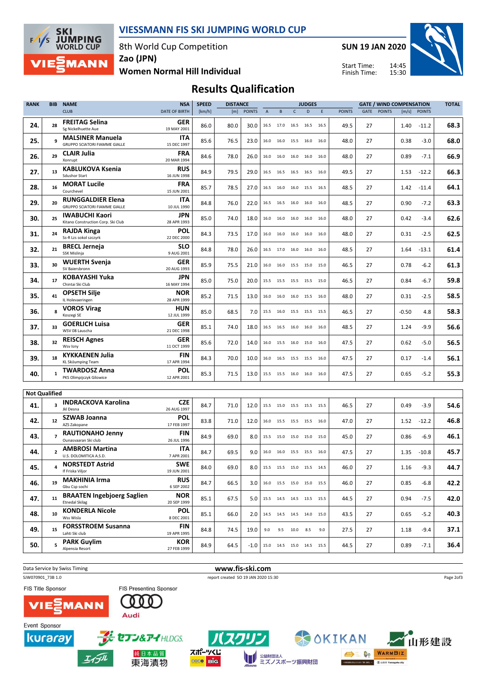

エイデル

東海漬物

### VIESSMANN FIS SKI JUMPING WORLD CUP

8th World Cup Competition

SUN 19 JAN 2020

Start Time: Finish Time:



Women Normal Hill Individual Zao (JPN)

Results Qualification

| <b>RANK</b>          | <b>BIB</b>               | <b>NAME</b>                                                                | <b>NSA</b>                | <b>SPEED</b> | <b>DISTANCE</b> |               |                |                | <b>JUDGES</b> |                                      |      |               | <b>GATE / WIND COMPENSATION</b> |               |         |              |      |  |
|----------------------|--------------------------|----------------------------------------------------------------------------|---------------------------|--------------|-----------------|---------------|----------------|----------------|---------------|--------------------------------------|------|---------------|---------------------------------|---------------|---------|--------------|------|--|
|                      |                          | <b>CLUB</b>                                                                | <b>DATE OF BIRTH</b>      | [km/h]       | [m]             | <b>POINTS</b> | $\overline{A}$ | B              | $\mathsf{C}$  | D                                    | E.   | <b>POINTS</b> | GATE                            | <b>POINTS</b> |         | [m/s] POINTS |      |  |
| 24.                  | 28                       | <b>FREITAG Selina</b><br>Sg Nickelhuette Aue                               | <b>GER</b><br>19 MAY 2001 | 86.0         | 80.0            | 30.0          |                |                |               | 16.5 17.0 16.5 16.5 16.5             |      | 49.5          | 27                              |               | 1.40    | $-11.2$      | 68.3 |  |
| 25.                  | 9                        | <b>MALSINER Manuela</b><br><b>GRUPPO SCIATORI FIAMME GIALLE</b>            | ITA<br>15 DEC 1997        | 85.6         | 76.5            | 23.0          | 16.0           | 16.0           | 15.5          | 16.0                                 | 16.0 | 48.0          | 27                              |               | 0.38    | $-3.0$       | 68.0 |  |
| 26.                  | 29                       | <b>CLAIR Julia</b><br>Xonrupt                                              | <b>FRA</b><br>20 MAR 1994 | 84.6         | 78.0            | 26.0          | 16.0           | 16.0           | 16.0          | 16.0 16.0                            |      | 48.0          | 27                              |               | 0.89    | $-7.1$       | 66.9 |  |
| 27.                  | 13                       | <b>KABLUKOVA Ksenia</b><br><b>Sdushor Start</b>                            | <b>RUS</b><br>16 JUN 1998 | 84.9         | 79.5            | 29.0          |                |                |               | 16.5 16.5 16.5 16.5 16.0             |      | 49.5          | 27                              |               | 1.53    | $-12.2$      | 66.3 |  |
| 28.                  | 16                       | <b>MORAT Lucile</b><br>Courchevel                                          | FRA<br>15 JUN 2001        | 85.7         | 78.5            | 27.0          | 16.5           | 16.0           | 16.0          | 15.5 16.5                            |      | 48.5          | 27                              |               | 1.42    | -11.4        | 64.1 |  |
| 29.                  | 20                       | <b>RUNGGALDIER Elena</b><br><b>GRUPPO SCIATORI FIAMME GIALLE</b>           | ITA<br>10 JUL 1990        | 84.8         | 76.0            | 22.0          |                |                |               | 16.5 16.5 16.0 16.0 16.0             |      | 48.5          | 27                              |               | 0.90    | $-7.2$       | 63.3 |  |
| 30.                  | 25                       | <b>IWABUCHI Kaori</b><br>Kitano Construction Corp. Ski Club                | JPN<br>28 APR 1993        | 85.0         | 74.0            | 18.0          |                | 16.0 16.0 16.0 |               | 16.0                                 | 16.0 | 48.0          | 27                              |               | 0.42    | $-3.4$       | 62.6 |  |
| 31.                  | 24                       | RAJDA Kinga<br>Ss-R Lzs sokol szczyrk                                      | POL<br>22 DEC 2000        | 84.3         | 73.5            | 17.0          | 16.0           | 16.0           | 16.0          | 16.0                                 | 16.0 | 48.0          | 27                              |               | 0.31    | $-2.5$       | 62.5 |  |
| 32.                  | 21                       | <b>BRECL Jerneja</b><br>SSK Mislinja                                       | <b>SLO</b><br>9 AUG 2001  | 84.8         | 78.0            | 26.0          | 16.5           | 17.0 16.0      |               | 16.0 16.0                            |      | 48.5          | 27                              |               | 1.64    | $-13.1$      | 61.4 |  |
| 33.                  | 30                       | <b>WUERTH Svenja</b><br>SV Baiersbronn                                     | <b>GER</b><br>20 AUG 1993 | 85.9         | 75.5            | 21.0          | 16.0           | 16.0 15.5      |               | 15.0 15.0                            |      | 46.5          | 27                              |               | 0.78    | $-6.2$       | 61.3 |  |
| 34.                  | 17                       | KOBAYASHI Yuka<br>Chintai Ski Club                                         | JPN<br>16 MAY 1994        | 85.0         | 75.0            | 20.0          |                |                |               | 15.5 15.5 15.5 15.5 15.0             |      | 46.5          | 27                              |               | 0.84    | $-6.7$       | 59.8 |  |
| 35.                  | 41                       | <b>OPSETH Silje</b><br>IL Holevaeringen                                    | <b>NOR</b><br>28 APR 1999 | 85.2         | 71.5            | 13.0          |                |                |               | 16.0 16.0 16.0 15.5 16.0             |      | 48.0          | 27                              |               | 0.31    | $-2.5$       | 58.5 |  |
| 36.                  | 8                        | <b>VOROS Virag</b><br>Koszegi SE                                           | HUN<br>12 JUL 1999        | 85.0         | 68.5            | 7.0           |                |                |               | 15.5 16.0 15.5 15.5 15.5             |      | 46.5          | 27                              |               | $-0.50$ | 4.8          | 58.3 |  |
| 37.                  | 33                       | <b>GOERLICH Luisa</b><br>WSV 08 Lauscha                                    | <b>GER</b><br>21 DEC 1998 | 85.1         | 74.0            | 18.0          | 16.5           | 16.5 16.0      |               | 16.0                                 | 16.0 | 48.5          | 27                              |               | 1.24    | $-9.9$       | 56.6 |  |
| 38.                  | 32                       | <b>REISCH Agnes</b><br>Wsv Isny                                            | <b>GER</b><br>11 OCT 1999 | 85.6         | 72.0            | 14.0          | 16.0           | 15.5 16.0      |               | 15.0 16.0                            |      | 47.5          | 27                              |               | 0.62    | $-5.0$       | 56.5 |  |
| 39.                  | 18                       | <b>KYKKAENEN Julia</b><br><b>KL SkiJumping Team</b>                        | <b>FIN</b><br>17 APR 1994 | 84.3         | 70.0            | 10.0          |                |                |               | 16.0 16.5 15.5 15.5 16.0             |      | 47.5          | 27                              |               | 0.17    | $-1.4$       | 56.1 |  |
| 40.                  | $\mathbf{1}$             | <b>TWARDOSZ Anna</b><br>PKS Olimpijczyk Gilowice                           | POL<br>12 APR 2001        | 85.3         | 71.5            | 13.0          |                | 15.5 15.5 16.0 |               | 16.0                                 | 16.0 | 47.5          | 27                              |               | 0.65    | $-5.2$       | 55.3 |  |
|                      |                          |                                                                            |                           |              |                 |               |                |                |               |                                      |      |               |                                 |               |         |              |      |  |
| <b>Not Qualified</b> |                          | <b>INDRACKOVA Karolina</b>                                                 | <b>CZE</b>                |              |                 |               |                |                |               |                                      |      |               |                                 |               |         |              |      |  |
| 41.                  | 3                        | Jkl Desna<br><b>SZWAB Joanna</b>                                           | 26 AUG 1997<br><b>POL</b> | 84.7         | 71.0            | 12.0          | 15.5           |                |               | 15.0 15.5 15.5 15.5                  |      | 46.5          | 27                              |               | 0.49    | $-3.9$       | 54.6 |  |
| 42.                  | 12                       | AZS Zakopane<br><b>RAUTIONAHO Jenny</b>                                    | 17 FEB 1997<br>FIN        | 83.8         | 71.0            | 12.0          | 16.0           | 15.5 15.5      |               | 15.5 16.0                            |      | 47.0          | 27                              |               | 1.52    | $-12.2$      | 46.8 |  |
| 43.                  | $\overline{7}$           | Ounasyaaran Ski club                                                       | 26 JUL 1996<br><b>ITA</b> | 84.9         | 69.0            | 8.0           |                | 15.5 15.0 15.0 |               | 15.0 15.0                            |      | 45.0          | 27                              |               | 0.86    | $-6.9$       | 46.1 |  |
| 44.                  | $\overline{\phantom{a}}$ | <b>AMBROSI Martina</b><br>U.S. DOLOMITICA A.S.D.<br><b>NORSTEDT Astrid</b> | 7 APR 2001                | 84.7         | 69.5            | 9.0           | 16.0           |                |               | 16.0 15.5 15.5 16.0                  |      | 47.5          | 27                              |               | 1.35    | $-10.8$      | 45.7 |  |
| 45.                  | 4                        | If Friska Viljor                                                           | <b>SWE</b><br>19 JUN 2001 | 84.0         | 69.0            |               |                |                |               | 8.0   15.5 15.5 15.0 15.5 14.5       |      | 46.0          | 27                              |               | 1.16    | $-9.3$       | 44.7 |  |
| 46.                  | 19                       | <b>MAKHINIA Irma</b><br>Gbu Csp sochi                                      | <b>RUS</b><br>6 SEP 2002  | 84.7         | 66.5            | 3.0           |                |                |               | 16.0 15.5 15.0 15.0 15.5             |      | 46.0          | 27                              |               | 0.85    | $-6.8$       | 42.2 |  |
| 47.                  | 11                       | <b>BRAATEN Ingebjoerg Saglien</b><br><b>Etnedal Skilag</b>                 | <b>NOR</b><br>20 SEP 1999 | 85.1         | 67.5            | 5.0           |                |                |               | 15.5    14.5    14.5    13.5    15.5 |      | 44.5          | 27                              |               | 0.94    | $-7.5$       | 42.0 |  |
| 48.                  | 10                       | <b>KONDERLA Nicole</b><br>Wss Wisla                                        | <b>POL</b><br>8 DEC 2001  | 85.1         | 66.0            | 2.0           |                |                |               | 14.5    14.5    14.5    14.0    15.0 |      | 43.5          | 27                              |               | 0.65    | $-5.2$       | 40.3 |  |
| 49.                  | 15                       | <b>FORSSTROEM Susanna</b><br>Lahti Ski club                                | FIN<br>19 APR 1995        | 84.8         | 74.5            | 19.0          |                |                |               | 9.0 9.5 10.0 8.5                     | 9.0  | 27.5          | 27                              |               | 1.18    | $-9.4$       | 37.1 |  |
| 50.                  | 5                        | <b>PARK Guylim</b><br>Alpensia Resort                                      | KOR<br>27 FEB 1999        | 84.9         | 64.5            | $-1.0$        |                |                |               | 15.0  14.5  15.0  14.5  15.5         |      | 44.5          | 27                              |               | 0.89    | $-7.1$       | 36.4 |  |



**Die** 0000

■■ 公益財団法人<br>ミズノスポーツ振興財団

**AS DISTRICTS**